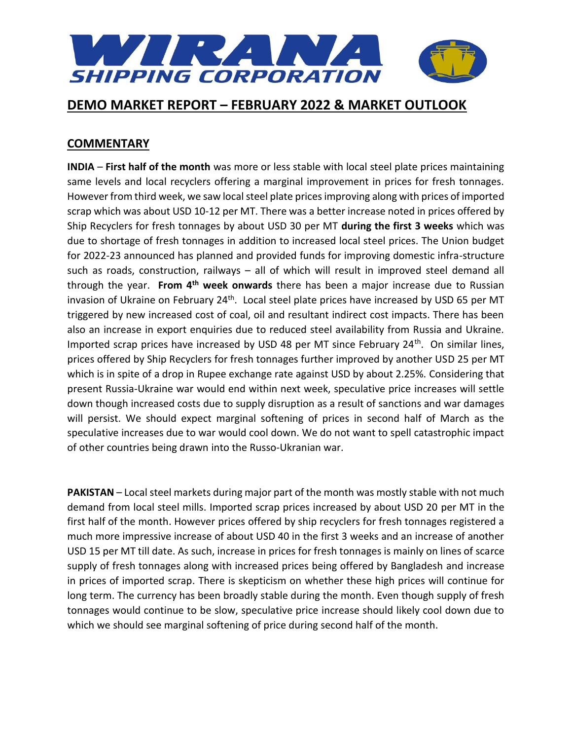

## **COMMENTARY**

**INDIA** – **First half of the month** was more or less stable with local steel plate prices maintaining same levels and local recyclers offering a marginal improvement in prices for fresh tonnages. However from third week, we saw local steel plate prices improving along with prices of imported scrap which was about USD 10-12 per MT. There was a better increase noted in prices offered by Ship Recyclers for fresh tonnages by about USD 30 per MT **during the first 3 weeks** which was due to shortage of fresh tonnages in addition to increased local steel prices. The Union budget for 2022-23 announced has planned and provided funds for improving domestic infra-structure such as roads, construction, railways – all of which will result in improved steel demand all through the year. **From 4th week onwards** there has been a major increase due to Russian invasion of Ukraine on February 24<sup>th</sup>. Local steel plate prices have increased by USD 65 per MT triggered by new increased cost of coal, oil and resultant indirect cost impacts. There has been also an increase in export enquiries due to reduced steel availability from Russia and Ukraine. Imported scrap prices have increased by USD 48 per MT since February 24<sup>th</sup>. On similar lines, prices offered by Ship Recyclers for fresh tonnages further improved by another USD 25 per MT which is in spite of a drop in Rupee exchange rate against USD by about 2.25%. Considering that present Russia-Ukraine war would end within next week, speculative price increases will settle down though increased costs due to supply disruption as a result of sanctions and war damages will persist. We should expect marginal softening of prices in second half of March as the speculative increases due to war would cool down. We do not want to spell catastrophic impact of other countries being drawn into the Russo-Ukranian war.

**PAKISTAN** – Local steel markets during major part of the month was mostly stable with not much demand from local steel mills. Imported scrap prices increased by about USD 20 per MT in the first half of the month. However prices offered by ship recyclers for fresh tonnages registered a much more impressive increase of about USD 40 in the first 3 weeks and an increase of another USD 15 per MT till date. As such, increase in prices for fresh tonnages is mainly on lines of scarce supply of fresh tonnages along with increased prices being offered by Bangladesh and increase in prices of imported scrap. There is skepticism on whether these high prices will continue for long term. The currency has been broadly stable during the month. Even though supply of fresh tonnages would continue to be slow, speculative price increase should likely cool down due to which we should see marginal softening of price during second half of the month.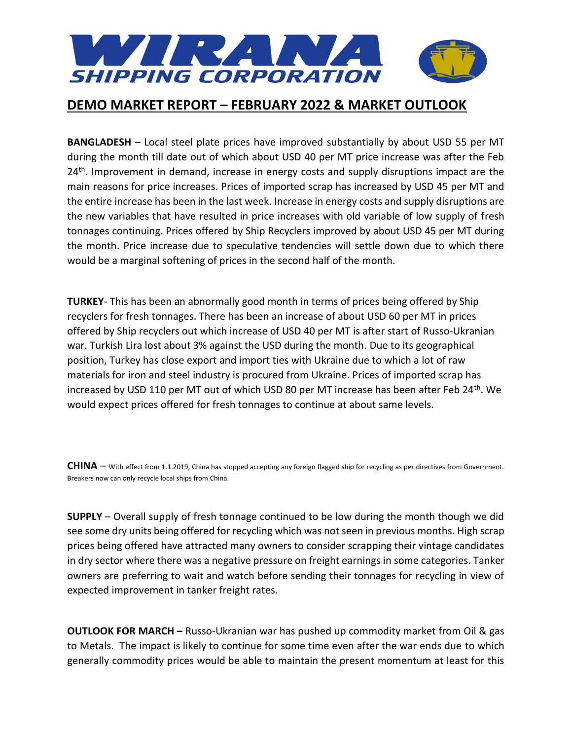

**BANGLADESH** – Local steel plate prices have improved substantially by about USD 55 per MT during the month till date out of which about USD 40 per MT price increase was after the Feb 24<sup>th</sup>. Improvement in demand, increase in energy costs and supply disruptions impact are the main reasons for price increases. Prices of imported scrap has increased by USD 45 per MT and the entire increase has been in the last week. Increase in energy costs and supply disruptions are the new variables that have resulted in price increases with old variable of low supply of fresh tonnages continuing. Prices offered by Ship Recyclers improved by about USD 45 per MT during the month. Price increase due to speculative tendencies will settle down due to which there would be a marginal softening of prices in the second half of the month.

**TURKEY**- This has been an abnormally good month in terms of prices being offered by Ship recyclers for fresh tonnages. There has been an increase of about USD 60 per MT in prices offered by Ship recyclers out which increase of USD 40 per MT is after start of Russo-Ukranian war. Turkish Lira lost about 3% against the USD during the month. Due to its geographical position, Turkey has close export and import ties with Ukraine due to which a lot of raw materials for iron and steel industry is procured from Ukraine. Prices of imported scrap has increased by USD 110 per MT out of which USD 80 per MT increase has been after Feb 24<sup>th</sup>. We would expect prices offered for fresh tonnages to continue at about same levels.

**CHINA** – With effect from 1.1.2019, China has stopped accepting any foreign flagged ship for recycling as per directives from Government. Breakers now can only recycle local ships from China.

**SUPPLY** – Overall supply of fresh tonnage continued to be low during the month though we did see some dry units being offered for recycling which was not seen in previous months. High scrap prices being offered have attracted many owners to consider scrapping their vintage candidates in dry sector where there was a negative pressure on freight earnings in some categories. Tanker owners are preferring to wait and watch before sending their tonnages for recycling in view of expected improvement in tanker freight rates.

**OUTLOOK FOR MARCH –** Russo-Ukranian war has pushed up commodity market from Oil & gas to Metals. The impact is likely to continue for some time even after the war ends due to which generally commodity prices would be able to maintain the present momentum at least for this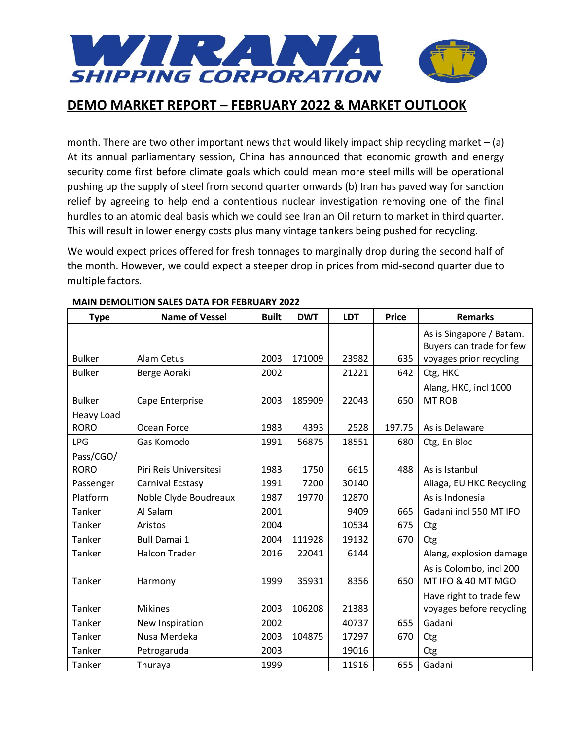

month. There are two other important news that would likely impact ship recycling market  $-$  (a) At its annual parliamentary session, China has announced that economic growth and energy security come first before climate goals which could mean more steel mills will be operational pushing up the supply of steel from second quarter onwards (b) Iran has paved way for sanction relief by agreeing to help end a contentious nuclear investigation removing one of the final hurdles to an atomic deal basis which we could see Iranian Oil return to market in third quarter. This will result in lower energy costs plus many vintage tankers being pushed for recycling.

We would expect prices offered for fresh tonnages to marginally drop during the second half of the month. However, we could expect a steeper drop in prices from mid-second quarter due to multiple factors.

| <b>Type</b>   | <b>Name of Vessel</b>  | <b>Built</b> | <b>DWT</b> | <b>LDT</b> | <b>Price</b> | <b>Remarks</b>           |
|---------------|------------------------|--------------|------------|------------|--------------|--------------------------|
|               |                        |              |            |            |              | As is Singapore / Batam. |
|               |                        |              |            |            |              | Buyers can trade for few |
| <b>Bulker</b> | Alam Cetus             | 2003         | 171009     | 23982      | 635          | voyages prior recycling  |
| <b>Bulker</b> | Berge Aoraki           | 2002         |            | 21221      | 642          | Ctg, HKC                 |
|               |                        |              |            |            |              | Alang, HKC, incl 1000    |
| <b>Bulker</b> | Cape Enterprise        | 2003         | 185909     | 22043      | 650          | <b>MT ROB</b>            |
| Heavy Load    |                        |              |            |            |              |                          |
| <b>RORO</b>   | Ocean Force            | 1983         | 4393       | 2528       | 197.75       | As is Delaware           |
| <b>LPG</b>    | Gas Komodo             | 1991         | 56875      | 18551      | 680          | Ctg, En Bloc             |
| Pass/CGO/     |                        |              |            |            |              |                          |
| <b>RORO</b>   | Piri Reis Universitesi | 1983         | 1750       | 6615       | 488          | As is Istanbul           |
| Passenger     | Carnival Ecstasy       | 1991         | 7200       | 30140      |              | Aliaga, EU HKC Recycling |
| Platform      | Noble Clyde Boudreaux  | 1987         | 19770      | 12870      |              | As is Indonesia          |
| Tanker        | Al Salam               | 2001         |            | 9409       | 665          | Gadani incl 550 MT IFO   |
| Tanker        | Aristos                | 2004         |            | 10534      | 675          | Ctg                      |
| Tanker        | <b>Bull Damai 1</b>    | 2004         | 111928     | 19132      | 670          | Ctg                      |
| Tanker        | <b>Halcon Trader</b>   | 2016         | 22041      | 6144       |              | Alang, explosion damage  |
|               |                        |              |            |            |              | As is Colombo, incl 200  |
| Tanker        | Harmony                | 1999         | 35931      | 8356       | 650          | MT IFO & 40 MT MGO       |
|               |                        |              |            |            |              | Have right to trade few  |
| Tanker        | <b>Mikines</b>         | 2003         | 106208     | 21383      |              | voyages before recycling |
| Tanker        | New Inspiration        | 2002         |            | 40737      | 655          | Gadani                   |
| Tanker        | Nusa Merdeka           | 2003         | 104875     | 17297      | 670          | Ctg                      |
| Tanker        | Petrogaruda            | 2003         |            | 19016      |              | Ctg                      |
| Tanker        | Thuraya                | 1999         |            | 11916      | 655          | Gadani                   |

### **MAIN DEMOLITION SALES DATA FOR FEBRUARY 2022**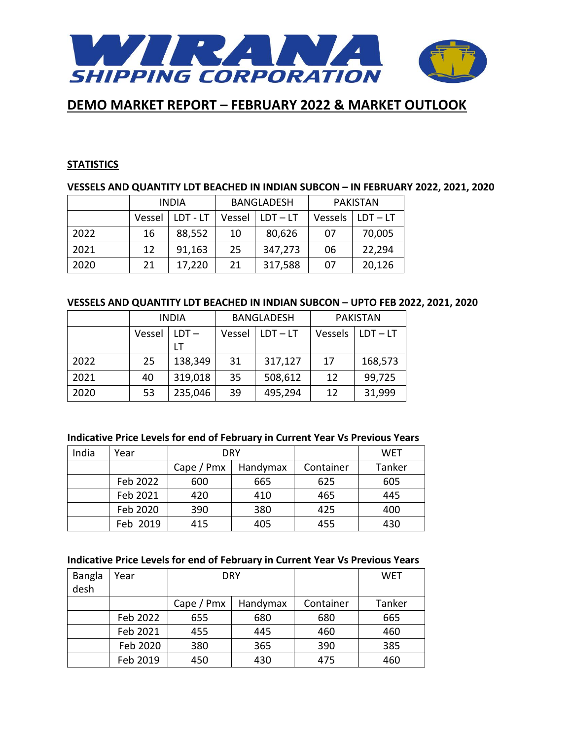

### **STATISTICS**

## **VESSELS AND QUANTITY LDT BEACHED IN INDIAN SUBCON – IN FEBRUARY 2022, 2021, 2020**

|      | <b>INDIA</b> |          | <b>BANGLADESH</b> |            | <b>PAKISTAN</b> |            |
|------|--------------|----------|-------------------|------------|-----------------|------------|
|      | Vessel       | LDT - LT | Vessel            | $LDT - LT$ | Vessels         | $LDT - LT$ |
| 2022 | 16           | 88,552   | 10                | 80,626     | 07              | 70,005     |
| 2021 | 12           | 91,163   | 25                | 347,273    | 06              | 22,294     |
| 2020 | 21           | 17,220   | 21                | 317,588    | 07              | 20,126     |

### **VESSELS AND QUANTITY LDT BEACHED IN INDIAN SUBCON – UPTO FEB 2022, 2021, 2020**

|      | <b>INDIA</b> |         |        | <b>BANGLADESH</b> | <b>PAKISTAN</b> |            |
|------|--------------|---------|--------|-------------------|-----------------|------------|
|      | Vessel       | $LDT -$ | Vessel | $LDT - LT$        | Vessels         | $LDT - LT$ |
|      |              |         |        |                   |                 |            |
| 2022 | 25           | 138,349 | 31     | 317,127           | 17              | 168,573    |
| 2021 | 40           | 319,018 | 35     | 508,612           | 12              | 99,725     |
| 2020 | 53           | 235,046 | 39     | 495,294           | 12              | 31,999     |

### **Indicative Price Levels for end of February in Current Year Vs Previous Years**

| India | Year     |            | DRY      |           | WET    |
|-------|----------|------------|----------|-----------|--------|
|       |          | Cape / Pmx | Handymax | Container | Tanker |
|       | Feb 2022 | 600        | 665      | 625       | 605    |
|       | Feb 2021 | 420        | 410      | 465       | 445    |
|       | Feb 2020 | 390        | 380      | 425       | 400    |
|       | Feb 2019 | 415        | 405      | 455       | 430    |

### **Indicative Price Levels for end of February in Current Year Vs Previous Years**

| <b>Bangla</b><br>desh | Year     |                 | <b>DRY</b> |           | WET    |
|-----------------------|----------|-----------------|------------|-----------|--------|
|                       |          | Cape $/$ Pm $x$ | Handymax   | Container | Tanker |
|                       |          |                 |            |           |        |
|                       | Feb 2022 | 655             | 680        | 680       | 665    |
|                       | Feb 2021 | 455             | 445        | 460       | 460    |
|                       | Feb 2020 | 380             | 365        | 390       | 385    |
|                       | Feb 2019 | 450             | 430        | 475       | 460    |